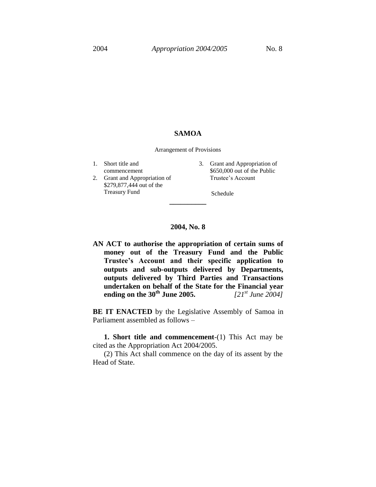## **SAMOA**

Arrangement of Provisions

1. Short title and commencement 2. Grant and Appropriation of \$279,877,444 out of the Treasury Fund 3. Grant and Appropriation of \$650,000 out of the Public Trustee's Account Schedule **\_\_\_\_\_\_\_\_\_\_**

## **2004, No. 8**

**AN ACT to authorise the appropriation of certain sums of money out of the Treasury Fund and the Public Trustee's Account and their specific application to outputs and sub-outputs delivered by Departments, outputs delivered by Third Parties and Transactions undertaken on behalf of the State for the Financial year ending on the 30th June 2005.** *[21st June 2004]*

**BE IT ENACTED** by the Legislative Assembly of Samoa in Parliament assembled as follows –

**1. Short title and commencement**-(1) This Act may be cited as the Appropriation Act 2004/2005.

(2) This Act shall commence on the day of its assent by the Head of State.